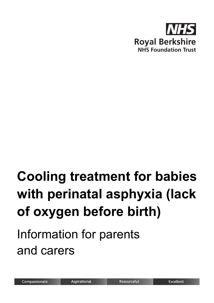

# **Cooling treatment for babies with perinatal asphyxia (lack of oxygen before birth)**

# Information for parents and carers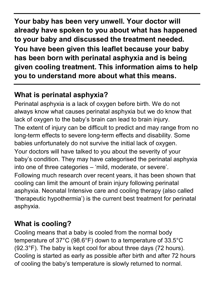**Your baby has been very unwell. Your doctor will already have spoken to you about what has happened to your baby and discussed the treatment needed. You have been given this leaflet because your baby has been born with perinatal asphyxia and is being given cooling treatment. This information aims to help you to understand more about what this means.**

# **What is perinatal asphyxia?**

Perinatal asphyxia is a lack of oxygen before birth. We do not always know what causes perinatal asphyxia but we do know that lack of oxygen to the baby's brain can lead to brain injury. The extent of injury can be difficult to predict and may range from no long-term effects to severe long-term effects and disability. Some babies unfortunately do not survive the initial lack of oxygen. Your doctors will have talked to you about the severity of your baby's condition. They may have categorised the perinatal asphyxia into one of three categories – 'mild, moderate, or severe'. Following much research over recent years, it has been shown that cooling can limit the amount of brain injury following perinatal asphyxia. Neonatal Intensive care and cooling therapy (also called 'therapeutic hypothermia') is the current best treatment for perinatal asphyxia.

# **What is cooling?**

Cooling means that a baby is cooled from the normal body temperature of 37°C (98.6°F) down to a temperature of 33.5°C (92.3°F). The baby is kept cool for about three days (72 hours). Cooling is started as early as possible after birth and after 72 hours of cooling the baby's temperature is slowly returned to normal.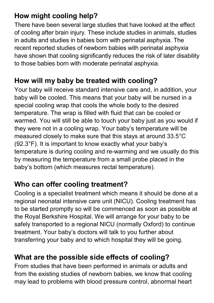# **How might cooling help?**

There have been several large studies that have looked at the effect of cooling after brain injury. These include studies in animals, studies in adults and studies in babies born with perinatal asphyxia. The recent reported studies of newborn babies with perinatal asphyxia have shown that cooling significantly reduces the risk of later disability to those babies born with moderate perinatal asphyxia.

#### **How will my baby be treated with cooling?**

Your baby will receive standard intensive care and, in addition, your baby will be cooled. This means that your baby will be nursed in a special cooling wrap that cools the whole body to the desired temperature. The wrap is filled with fluid that can be cooled or warmed. You will still be able to touch your baby just as you would if they were not in a cooling wrap. Your baby's temperature will be measured closely to make sure that this stays at around 33.5°C (92.3°F). It is important to know exactly what your baby's temperature is during cooling and re-warming and we usually do this by measuring the temperature from a small probe placed in the baby's bottom (which measures rectal temperature).

# **Who can offer cooling treatment?**

Cooling is a specialist treatment which means it should be done at a regional neonatal intensive care unit (NICU). Cooling treatment has to be started promptly so will be commenced as soon as possible at the Royal Berkshire Hospital. We will arrange for your baby to be safely transported to a regional NICU (normally Oxford) to continue treatment. Your baby's doctors will talk to you further about transferring your baby and to which hospital they will be going.

# **What are the possible side effects of cooling?**

From studies that have been performed in animals or adults and from the existing studies of newborn babies, we know that cooling may lead to problems with blood pressure control, abnormal heart